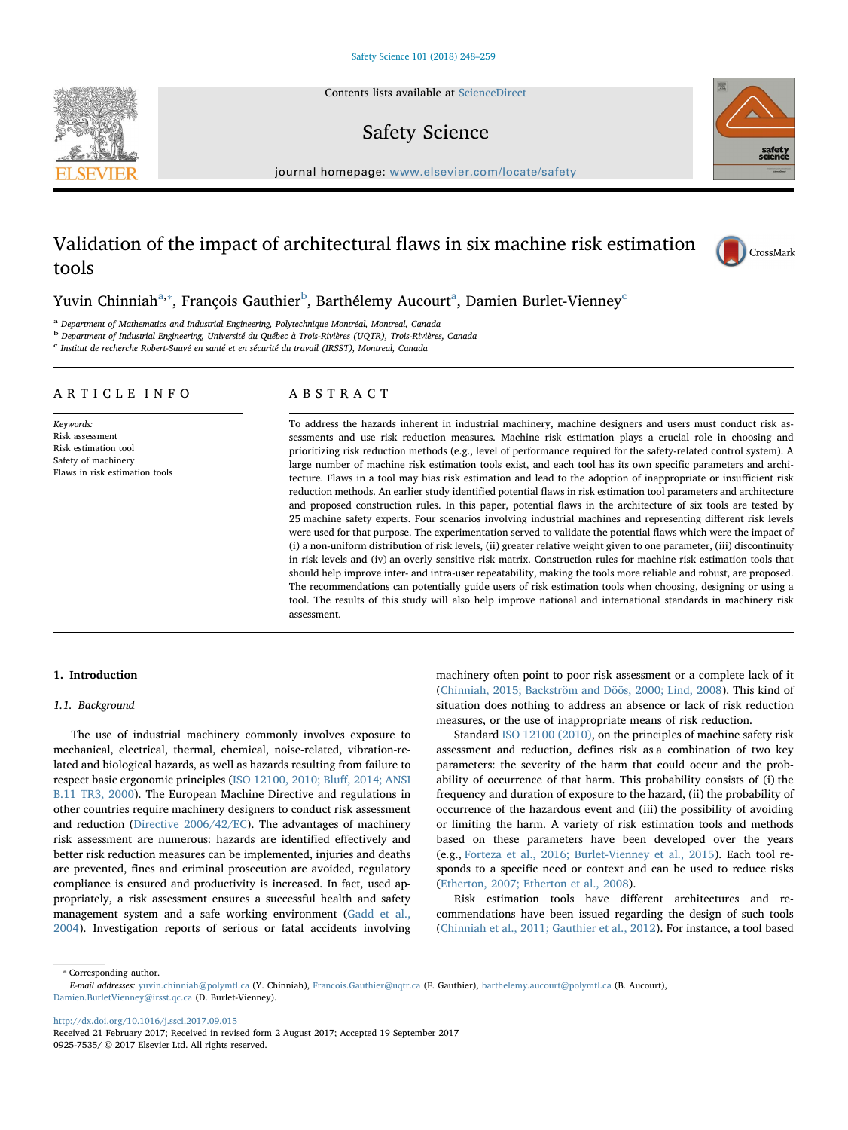Contents lists available at [ScienceDirect](http://www.sciencedirect.com/science/journal/09257535)

## Safety Science

 $j<sub>i</sub>$  and  $k<sub>i</sub>$  in the parameter.com/locate/safety/safety/safety/safety/safety/safety/safety/safety/safety/safety/safety/safety/safety/safety/safety/safety/safety/safety/safety/safety/safety/safety/safety/safety/s

# Validation of the impact of architectural flaws in six machine risk estimation tools

Yuvin Chinniah<sup>a,</sup>\*, François Gauthier<sup>b</sup>, Barthélemy Aucourt<sup>a</sup>, Damien Burlet-Vienney<sup>c</sup>

<sup>a</sup> Department of Mathematics and Industrial Engineering, Polytechnique Montréal, Montreal, Canada

<sup>b</sup> Department of Industrial Engineering, Université du Québec à Trois-Rivières (UQTR), Trois-Rivières, Canada

 $\rm ^c$  Institut de recherche Robert-Sauvé en santé et en sécurité du travail (IRSST), Montreal, Canada

#### ARTICLE INFO

Keywords: Risk assessment Risk estimation tool Safety of machinery Flaws in risk estimation tools

## ABSTRACT

To address the hazards inherent in industrial machinery, machine designers and users must conduct risk assessments and use risk reduction measures. Machine risk estimation plays a crucial role in choosing and prioritizing risk reduction methods (e.g., level of performance required for the safety-related control system). A large number of machine risk estimation tools exist, and each tool has its own specific parameters and architecture. Flaws in a tool may bias risk estimation and lead to the adoption of inappropriate or insufficient risk reduction methods. An earlier study identified potential flaws in risk estimation tool parameters and architecture and proposed construction rules. In this paper, potential flaws in the architecture of six tools are tested by 25 machine safety experts. Four scenarios involving industrial machines and representing different risk levels were used for that purpose. The experimentation served to validate the potential flaws which were the impact of (i) a non-uniform distribution of risk levels, (ii) greater relative weight given to one parameter, (iii) discontinuity in risk levels and (iv) an overly sensitive risk matrix. Construction rules for machine risk estimation tools that should help improve inter- and intra-user repeatability, making the tools more reliable and robust, are proposed. The recommendations can potentially guide users of risk estimation tools when choosing, designing or using a tool. The results of this study will also help improve national and international standards in machinery risk assessment.

### 1. Introduction

### 1.1. Background

The use of industrial machinery commonly involves exposure to mechanical, electrical, thermal, chemical, noise-related, vibration-related and biological hazards, as well as hazards resulting from failure to respect basic ergonomic principles (ISO 12100, 2010; Bluff, 2014; ANSI B.11 TR3, 2000). The European Machine Directive and regulations in other countries require machinery designers to conduct risk assessment and reduction (Directive 2006/42/EC). The advantages of machinery risk assessment are numerous: hazards are identified effectively and better risk reduction measures can be implemented, injuries and deaths are prevented, fines and criminal prosecution are avoided, regulatory compliance is ensured and productivity is increased. In fact, used appropriately, a risk assessment ensures a successful health and safety management system and a safe working environment (Gadd et al., 2004). Investigation reports of serious or fatal accidents involving

machinery often point to poor risk assessment or a complete lack of it (Chinniah, 2015; Backström and Döös, 2000; Lind, 2008). This kind of situation does nothing to address an absence or lack of risk reduction measures, or the use of inappropriate means of risk reduction.

Standard ISO 12100 (2010), on the principles of machine safety risk assessment and reduction, defines risk as a combination of two key parameters: the severity of the harm that could occur and the probability of occurrence of that harm. This probability consists of (i) the frequency and duration of exposure to the hazard, (ii) the probability of occurrence of the hazardous event and (iii) the possibility of avoiding or limiting the harm. A variety of risk estimation tools and methods based on these parameters have been developed over the years (e.g., Forteza et al., 2016; Burlet-Vienney et al., 2015). Each tool responds to a specific need or context and can be used to reduce risks (Etherton, 2007; Etherton et al., 2008).

Risk estimation tools have different architectures and recommendations have been issued regarding the design of such tools (Chinniah et al., 2011; Gauthier et al., 2012). For instance, a tool based

⁎ Corresponding author.

<http://dx.doi.org/10.1016/j.ssci.2017.09.015>





CrossMark

E-mail addresses: [yuvin.chinniah@polymtl.ca](mailto:yuvin.chinniah@polymtl.ca) (Y. Chinniah), [Francois.Gauthier@uqtr.ca](mailto:Francois.Gauthier@uqtr.ca) (F. Gauthier), [barthelemy.aucourt@polymtl.ca](mailto:barthelemy.aucourt@polymtl.ca) (B. Aucourt), [Damien.BurletVienney@irsst.qc.ca](mailto:Damien.BurletVienney@irsst.qc.ca) (D. Burlet-Vienney).

Received 21 February 2017; Received in revised form 2 August 2017; Accepted 19 September 2017 0925-7535/ © 2017 Elsevier Ltd. All rights reserved.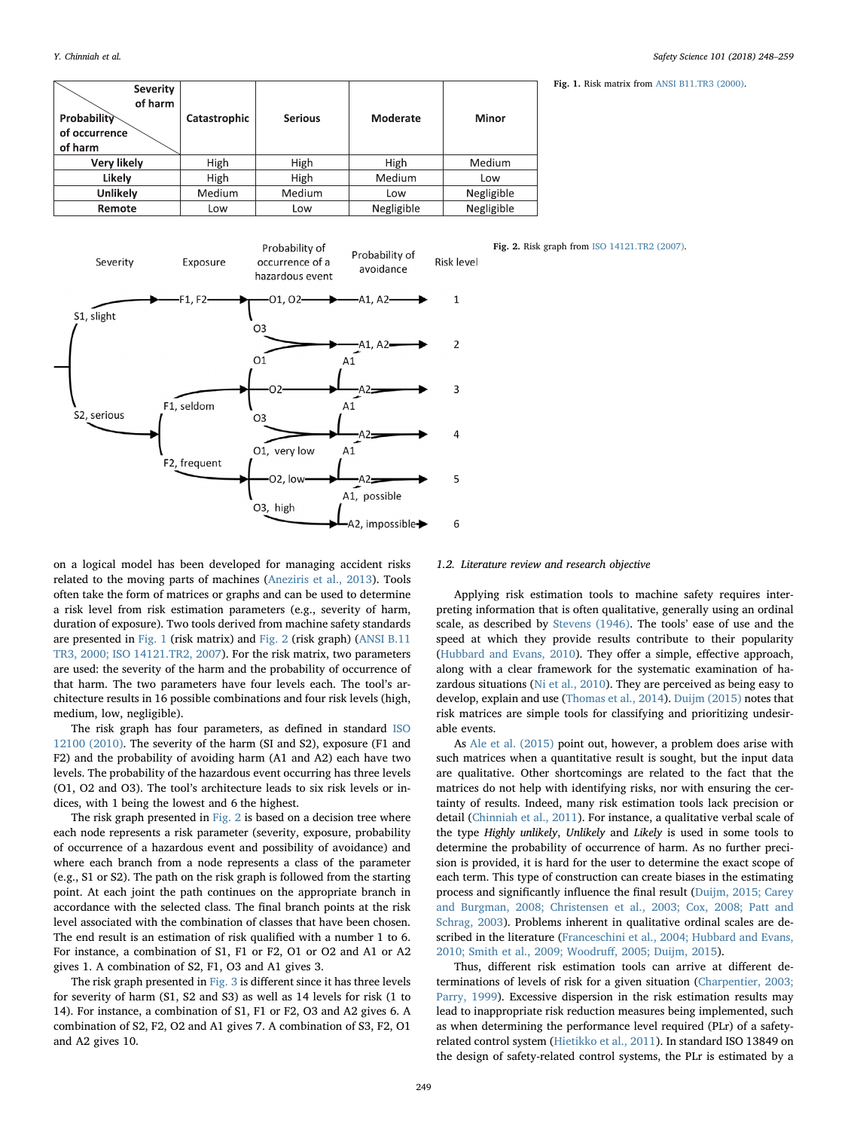#### Y. Chinniah et al. *Safety Science 101 (2018) 248–259*

Fig. 1. Risk matrix from ANSI B11.TR3 (2000).

| <b>Severity</b><br>of harm<br><b>Probability</b><br>of occurrence<br>of harm | Catastrophic | <b>Serious</b> | Moderate   | Minor      |
|------------------------------------------------------------------------------|--------------|----------------|------------|------------|
| Very likely                                                                  | High         | High           | High       | Medium     |
| Likely                                                                       | High         | High           | Medium     | Low        |
| Unlikely                                                                     | Medium       | Medium         | Low        | Negligible |
| Remote                                                                       | Low          | Low            | Negligible | Negligible |



Fig. 2. Risk graph from ISO 14121.TR2 (2007).

on a logical model has been developed for managing accident risks related to the moving parts of machines (Aneziris et al., 2013). Tools often take the form of matrices or graphs and can be used to determine a risk level from risk estimation parameters (e.g., severity of harm, duration of exposure). Two tools derived from machine safety standards are presented in Fig. 1 (risk matrix) and Fig. 2 (risk graph) (ANSI B.11 TR3, 2000; ISO 14121.TR2, 2007). For the risk matrix, two parameters are used: the severity of the harm and the probability of occurrence of that harm. The two parameters have four levels each. The tool's architecture results in 16 possible combinations and four risk levels (high, medium, low, negligible).

The risk graph has four parameters, as defined in standard ISO 12100 (2010). The severity of the harm (SI and S2), exposure (F1 and F2) and the probability of avoiding harm (A1 and A2) each have two levels. The probability of the hazardous event occurring has three levels (O1, O2 and O3). The tool's architecture leads to six risk levels or indices, with 1 being the lowest and 6 the highest.

The risk graph presented in Fig. 2 is based on a decision tree where each node represents a risk parameter (severity, exposure, probability of occurrence of a hazardous event and possibility of avoidance) and where each branch from a node represents a class of the parameter (e.g., S1 or S2). The path on the risk graph is followed from the starting point. At each joint the path continues on the appropriate branch in accordance with the selected class. The final branch points at the risk level associated with the combination of classes that have been chosen. The end result is an estimation of risk qualified with a number 1 to 6. For instance, a combination of S1, F1 or F2, O1 or O2 and A1 or A2 gives 1. A combination of S2, F1, O3 and A1 gives 3.

The risk graph presented in Fig. 3 is different since it has three levels for severity of harm (S1, S2 and S3) as well as 14 levels for risk (1 to 14). For instance, a combination of S1, F1 or F2, O3 and A2 gives 6. A combination of S2, F2, O2 and A1 gives 7. A combination of S3, F2, O1 and A2 gives 10.

#### 1.2. Literature review and research objective

Applying risk estimation tools to machine safety requires interpreting information that is often qualitative, generally using an ordinal scale, as described by Stevens (1946). The tools' ease of use and the speed at which they provide results contribute to their popularity (Hubbard and Evans, 2010). They offer a simple, effective approach, along with a clear framework for the systematic examination of hazardous situations (Ni et al., 2010). They are perceived as being easy to develop, explain and use (Thomas et al., 2014). Duijm (2015) notes that risk matrices are simple tools for classifying and prioritizing undesirable events.

As Ale et al. (2015) point out, however, a problem does arise with such matrices when a quantitative result is sought, but the input data are qualitative. Other shortcomings are related to the fact that the matrices do not help with identifying risks, nor with ensuring the certainty of results. Indeed, many risk estimation tools lack precision or detail (Chinniah et al., 2011). For instance, a qualitative verbal scale of the type Highly unlikely, Unlikely and Likely is used in some tools to determine the probability of occurrence of harm. As no further precision is provided, it is hard for the user to determine the exact scope of each term. This type of construction can create biases in the estimating process and significantly influence the final result (Duijm, 2015; Carey and Burgman, 2008; Christensen et al., 2003; Cox, 2008; Patt and Schrag, 2003). Problems inherent in qualitative ordinal scales are described in the literature (Franceschini et al., 2004; Hubbard and Evans, 2010; Smith et al., 2009; Woodruff, 2005; Duijm, 2015).

Thus, different risk estimation tools can arrive at different determinations of levels of risk for a given situation (Charpentier, 2003; Parry, 1999). Excessive dispersion in the risk estimation results may lead to inappropriate risk reduction measures being implemented, such as when determining the performance level required (PLr) of a safetyrelated control system (Hietikko et al., 2011). In standard ISO 13849 on the design of safety-related control systems, the PLr is estimated by a